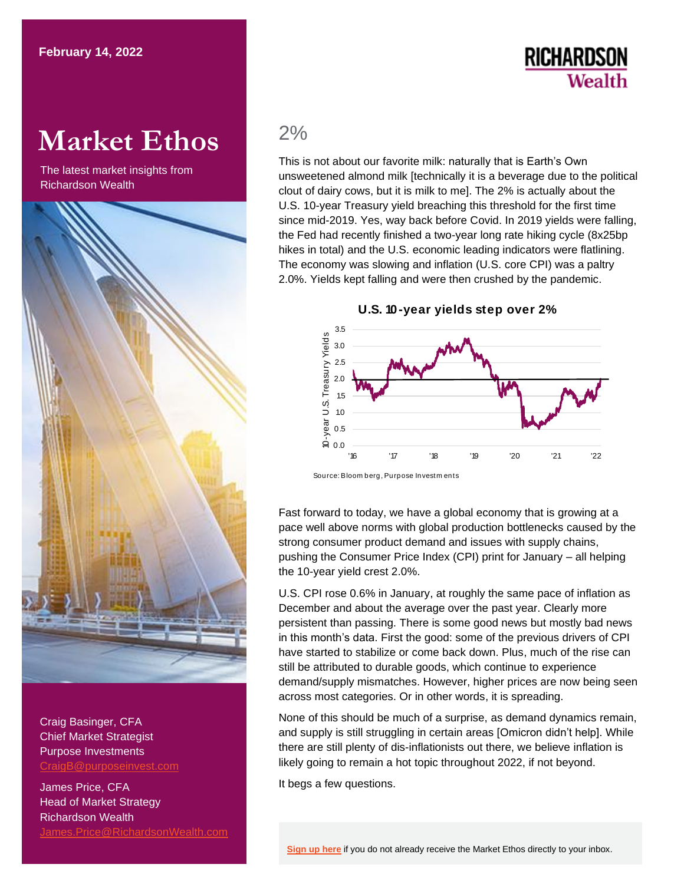## **RICHARDSON** Wealth

# **Market Ethos**

The latest market insights from Richardson Wealth



Craig Basinger, CFA Chief Market Strategist Purpose Investments [CraigB@purposeinvest.com](mailto:CraigB@purposeinvest.com)

James Price, CFA Head of Market Strategy Richardson Wealth [James.Price@RichardsonWealth.com](mailto:James.Price@RichardsonWealth.com)

### 2%

This is not about our favorite milk: naturally that is Earth's Own unsweetened almond milk [technically it is a beverage due to the political clout of dairy cows, but it is milk to me]. The 2% is actually about the U.S. 10-year Treasury yield breaching this threshold for the first time since mid-2019. Yes, way back before Covid. In 2019 yields were falling, the Fed had recently finished a two-year long rate hiking cycle (8x25bp hikes in total) and the U.S. economic leading indicators were flatlining. The economy was slowing and inflation (U.S. core CPI) was a paltry 2.0%. Yields kept falling and were then crushed by the pandemic.

### **U.S. 10-year yields step over 2%**



Fast forward to today, we have a global economy that is growing at a pace well above norms with global production bottlenecks caused by the strong consumer product demand and issues with supply chains, pushing the Consumer Price Index (CPI) print for January – all helping the 10-year yield crest 2.0%.

U.S. CPI rose 0.6% in January, at roughly the same pace of inflation as December and about the average over the past year. Clearly more persistent than passing. There is some good news but mostly bad news in this month's data. First the good: some of the previous drivers of CPI have started to stabilize or come back down. Plus, much of the rise can still be attributed to durable goods, which continue to experience demand/supply mismatches. However, higher prices are now being seen across most categories. Or in other words, it is spreading.

None of this should be much of a surprise, as demand dynamics remain, and supply is still struggling in certain areas [Omicron didn't help]. While there are still plenty of dis-inflationists out there, we believe inflation is likely going to remain a hot topic throughout 2022, if not beyond.

It begs a few questions.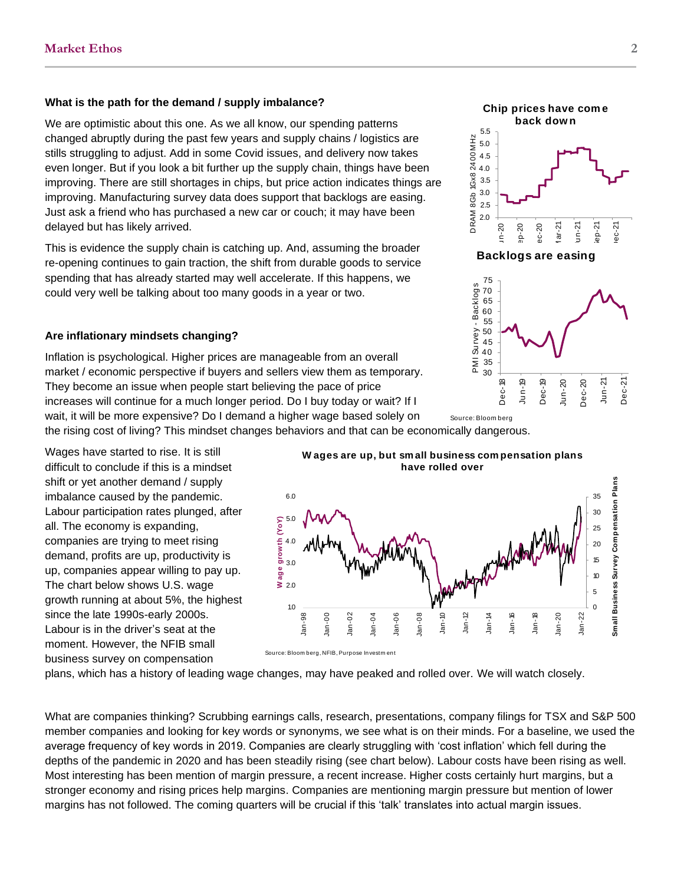### **What is the path for the demand / supply imbalance?**

We are optimistic about this one. As we all know, our spending patterns changed abruptly during the past few years and supply chains / logistics are stills struggling to adjust. Add in some Covid issues, and delivery now takes even longer. But if you look a bit further up the supply chain, things have been improving. There are still shortages in chips, but price action indicates things are improving. Manufacturing survey data does support that backlogs are easing. Just ask a friend who has purchased a new car or couch; it may have been delayed but has likely arrived.

This is evidence the supply chain is catching up. And, assuming the broader re-opening continues to gain traction, the shift from durable goods to service spending that has already started may well accelerate. If this happens, we could very well be talking about too many goods in a year or two.

### **Are inflationary mindsets changing?**

Inflation is psychological. Higher prices are manageable from an overall market / economic perspective if buyers and sellers view them as temporary. They become an issue when people start believing the pace of price increases will continue for a much longer period. Do I buy today or wait? If I wait, it will be more expensive? Do I demand a higher wage based solely on

the rising cost of living? This mindset changes behaviors and that can be economically dangerous. Source: Bloom berg

Wages have started to rise. It is still difficult to conclude if this is a mindset shift or yet another demand / supply imbalance caused by the pandemic. Labour participation rates plunged, after all. The economy is expanding, companies are trying to meet rising demand, profits are up, productivity is up, companies appear willing to pay up. The chart below shows U.S. wage growth running at about 5%, the highest since the late 1990s-early 2000s. Labour is in the driver's seat at the moment. However, the NFIB small business survey on compensation





plans, which has a history of leading wage changes, may have peaked and rolled over. We will watch closely.

What are companies thinking? Scrubbing earnings calls, research, presentations, company filings for TSX and S&P 500 member companies and looking for key words or synonyms, we see what is on their minds. For a baseline, we used the average frequency of key words in 2019. Companies are clearly struggling with 'cost inflation' which fell during the depths of the pandemic in 2020 and has been steadily rising (see chart below). Labour costs have been rising as well. Most interesting has been mention of margin pressure, a recent increase. Higher costs certainly hurt margins, but a stronger economy and rising prices help margins. Companies are mentioning margin pressure but mention of lower margins has not followed. The coming quarters will be crucial if this 'talk' translates into actual margin issues.

2.0 2.5 3.0 3.5 4.0 4.5 5.0 5.5 Jun-20 Sep-20 Dec-20 Mar-21 Jun-21 Sep-21 Dec-21 **Chip prices have come**<br>
back down<br>  $\frac{1}{2}$ <br>  $\frac{2}{3}$ <br>  $\frac{2}{3}$ <br>  $\frac{2}{3}$ <br>  $\frac{2}{3}$ <br>  $\frac{2}{3}$ <br>  $\frac{2}{3}$ <br>  $\frac{2}{3}$ <br>  $\frac{2}{3}$ <br>  $\frac{2}{3}$ <br>  $\frac{2}{3}$ <br>  $\frac{2}{3}$ <br>  $\frac{2}{3}$ <br>  $\frac{2}{3}$ <br>  $\frac{2}{3}$ <br>  $\frac{2}{3}$ <br>  $\frac{2}{3}$ **Chip prices have come**<br>back down Backlogs are easing

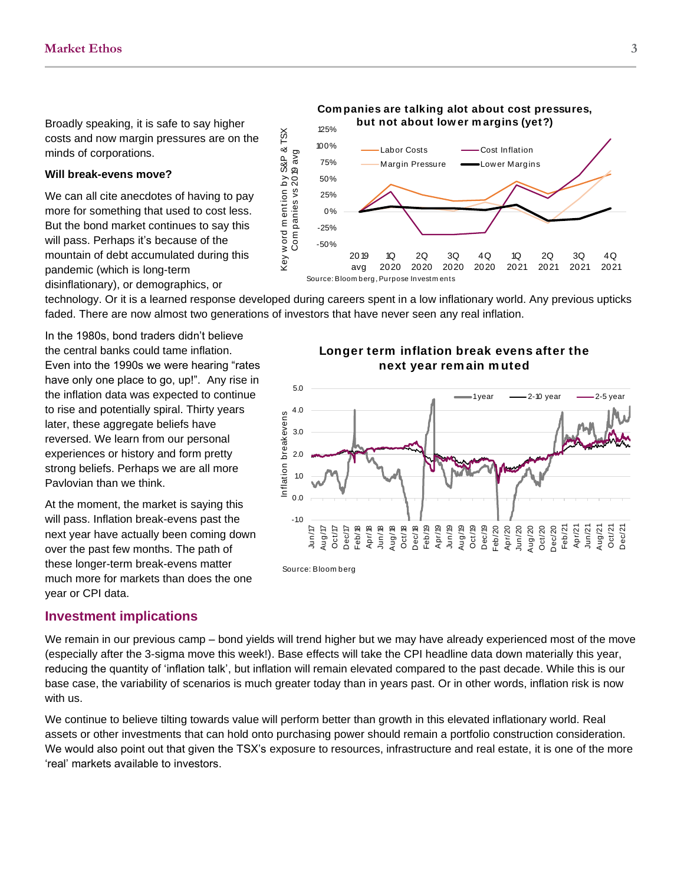Broadly speaking, it is safe to say higher costs and now margin pressures are on the minds of corporations.

### **Will break-evens move?**

We can all cite anecdotes of having to pay more for something that used to cost less. But the bond market continues to say this will pass. Perhaps it's because of the mountain of debt accumulated during this pandemic (which is long-term disinflationary), or demographics, or



technology. Or it is a learned response developed during careers spent in a low inflationary world. Any previous upticks faded. There are now almost two generations of investors that have never seen any real inflation.

In the 1980s, bond traders didn't believe the central banks could tame inflation. Even into the 1990s we were hearing "rates have only one place to go, up!". Any rise in the inflation data was expected to continue to rise and potentially spiral. Thirty years later, these aggregate beliefs have reversed. We learn from our personal experiences or history and form pretty strong beliefs. Perhaps we are all more Pavlovian than we think.

At the moment, the market is saying this will pass. Inflation break-evens past the next year have actually been coming down over the past few months. The path of these longer-term break-evens matter much more for markets than does the one year or CPI data.

# g careers spent in a low inflationary world. Any previous<br>rs that have never seen any real inflation.<br>**Longer term inflation break evens after the**<br>**next vear remain muted** never seen any real inflation.<br>**rm inflation break evens**<br>next year remain muted



### **Investment implications**

We remain in our previous camp – bond yields will trend higher but we may have already experienced most of the move (especially after the 3-sigma move this week!). Base effects will take the CPI headline data down materially this year, reducing the quantity of 'inflation talk', but inflation will remain elevated compared to the past decade. While this is our base case, the variability of scenarios is much greater today than in years past. Or in other words, inflation risk is now with us.

We continue to believe tilting towards value will perform better than growth in this elevated inflationary world. Real assets or other investments that can hold onto purchasing power should remain a portfolio construction consideration. We would also point out that given the TSX's exposure to resources, infrastructure and real estate, it is one of the more 'real' markets available to investors.